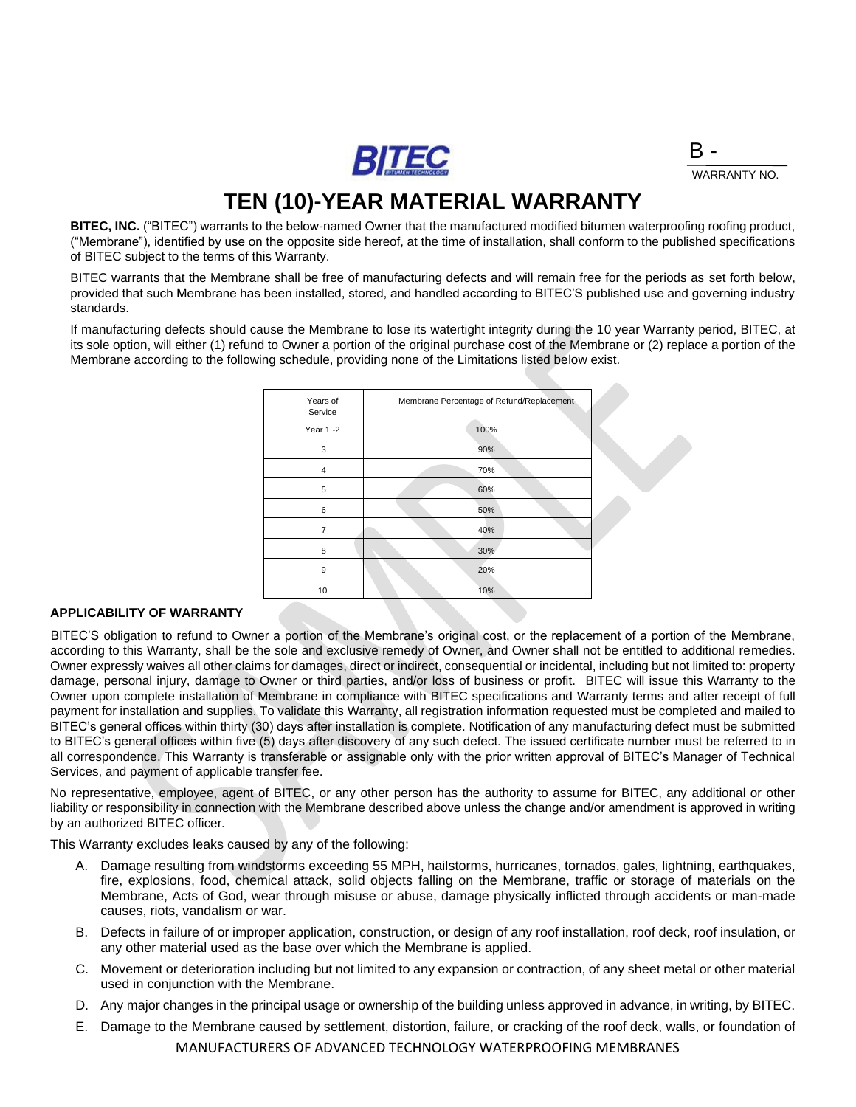BITEC

B - WARRANTY NO.

## **TEN (10)-YEAR MATERIAL WARRANTY**

**BITEC, INC.** ("BITEC") warrants to the below-named Owner that the manufactured modified bitumen waterproofing roofing product, ("Membrane"), identified by use on the opposite side hereof, at the time of installation, shall conform to the published specifications of BITEC subject to the terms of this Warranty.

BITEC warrants that the Membrane shall be free of manufacturing defects and will remain free for the periods as set forth below, provided that such Membrane has been installed, stored, and handled according to BITEC'S published use and governing industry standards.

If manufacturing defects should cause the Membrane to lose its watertight integrity during the 10 year Warranty period, BITEC, at its sole option, will either (1) refund to Owner a portion of the original purchase cost of the Membrane or (2) replace a portion of the Membrane according to the following schedule, providing none of the Limitations listed below exist.

| Years of<br>Service | Membrane Percentage of Refund/Replacement |
|---------------------|-------------------------------------------|
| Year 1 -2           | 100%                                      |
| 3                   | 90%                                       |
| $\overline{4}$      | 70%                                       |
| 5                   | 60%                                       |
| 6                   | 50%                                       |
| 7                   | 40%                                       |
| 8                   | 30%                                       |
| 9                   | 20%                                       |
| 10                  | 10%                                       |

#### **APPLICABILITY OF WARRANTY**

BITEC'S obligation to refund to Owner a portion of the Membrane's original cost, or the replacement of a portion of the Membrane, according to this Warranty, shall be the sole and exclusive remedy of Owner, and Owner shall not be entitled to additional remedies. Owner expressly waives all other claims for damages, direct or indirect, consequential or incidental, including but not limited to: property damage, personal injury, damage to Owner or third parties, and/or loss of business or profit. BITEC will issue this Warranty to the Owner upon complete installation of Membrane in compliance with BITEC specifications and Warranty terms and after receipt of full payment for installation and supplies. To validate this Warranty, all registration information requested must be completed and mailed to BITEC's general offices within thirty (30) days after installation is complete. Notification of any manufacturing defect must be submitted to BITEC's general offices within five (5) days after discovery of any such defect. The issued certificate number must be referred to in all correspondence. This Warranty is transferable or assignable only with the prior written approval of BITEC's Manager of Technical Services, and payment of applicable transfer fee.

No representative, employee, agent of BITEC, or any other person has the authority to assume for BITEC, any additional or other liability or responsibility in connection with the Membrane described above unless the change and/or amendment is approved in writing by an authorized BITEC officer.

This Warranty excludes leaks caused by any of the following:

- A. Damage resulting from windstorms exceeding 55 MPH, hailstorms, hurricanes, tornados, gales, lightning, earthquakes, fire, explosions, food, chemical attack, solid objects falling on the Membrane, traffic or storage of materials on the Membrane, Acts of God, wear through misuse or abuse, damage physically inflicted through accidents or man-made causes, riots, vandalism or war.
- B. Defects in failure of or improper application, construction, or design of any roof installation, roof deck, roof insulation, or any other material used as the base over which the Membrane is applied.
- C. Movement or deterioration including but not limited to any expansion or contraction, of any sheet metal or other material used in conjunction with the Membrane.
- D. Any major changes in the principal usage or ownership of the building unless approved in advance, in writing, by BITEC.
- MANUFACTURERS OF ADVANCED TECHNOLOGY WATERPROOFING MEMBRANES E. Damage to the Membrane caused by settlement, distortion, failure, or cracking of the roof deck, walls, or foundation of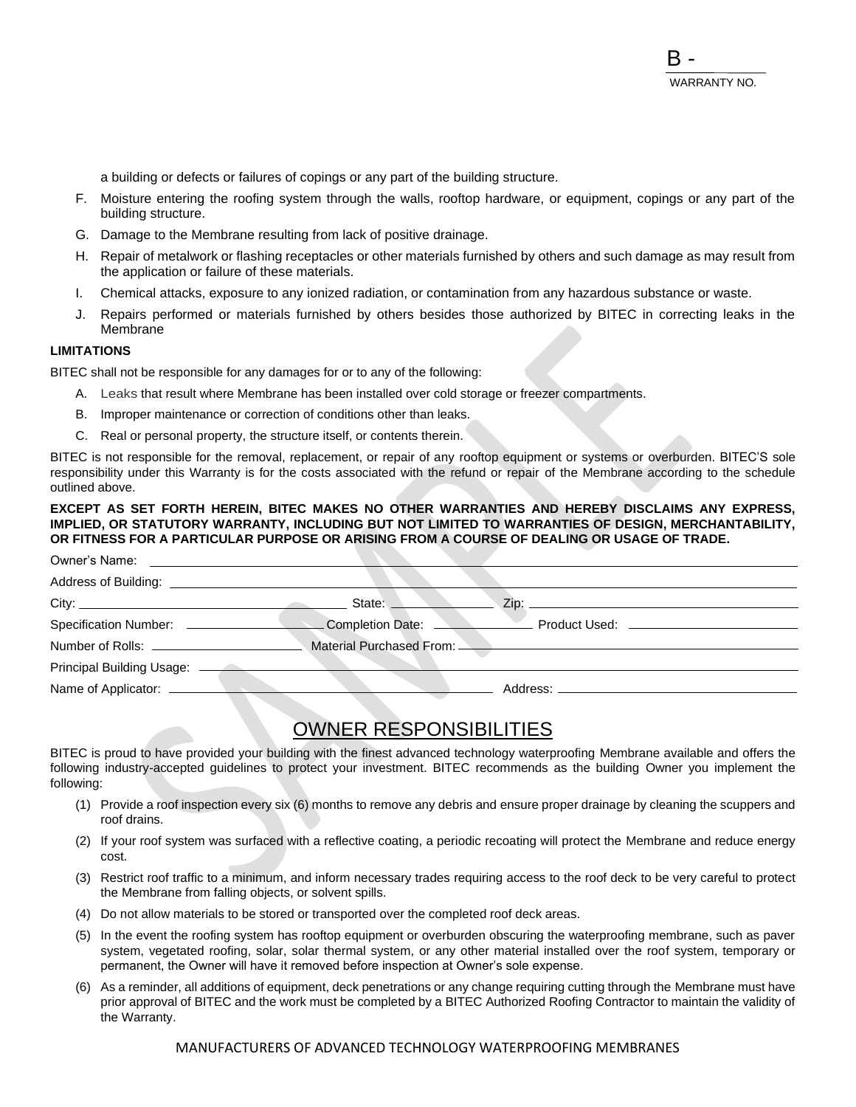a building or defects or failures of copings or any part of the building structure.

- F. Moisture entering the roofing system through the walls, rooftop hardware, or equipment, copings or any part of the building structure.
- G. Damage to the Membrane resulting from lack of positive drainage.
- H. Repair of metalwork or flashing receptacles or other materials furnished by others and such damage as may result from the application or failure of these materials.
- I. Chemical attacks, exposure to any ionized radiation, or contamination from any hazardous substance or waste.
- J. Repairs performed or materials furnished by others besides those authorized by BITEC in correcting leaks in the Membrane

### **LIMITATIONS**

BITEC shall not be responsible for any damages for or to any of the following:

- A. Leaks that result where Membrane has been installed over cold storage or freezer compartments.
- B. Improper maintenance or correction of conditions other than leaks.
- C. Real or personal property, the structure itself, or contents therein.

BITEC is not responsible for the removal, replacement, or repair of any rooftop equipment or systems or overburden. BITEC'S sole responsibility under this Warranty is for the costs associated with the refund or repair of the Membrane according to the schedule outlined above.

### **EXCEPT AS SET FORTH HEREIN, BITEC MAKES NO OTHER WARRANTIES AND HEREBY DISCLAIMS ANY EXPRESS, IMPLIED, OR STATUTORY WARRANTY, INCLUDING BUT NOT LIMITED TO WARRANTIES OF DESIGN, MERCHANTABILITY, OR FITNESS FOR A PARTICULAR PURPOSE OR ARISING FROM A COURSE OF DEALING OR USAGE OF TRADE.**

| Owner's Name:                      |                  |                               |
|------------------------------------|------------------|-------------------------------|
| Address of Building: _____________ |                  |                               |
|                                    | State:           | Zip:                          |
| <b>Specification Number:</b>       | Completion Date: | Product Used: _______________ |
| Number of Rolls: ________________  |                  |                               |
| Principal Building Usage:          |                  |                               |
| Name of Applicator: ______         |                  | Address: ___________          |

### OWNER RESPONSIBILITIES

BITEC is proud to have provided your building with the finest advanced technology waterproofing Membrane available and offers the following industry-accepted guidelines to protect your investment. BITEC recommends as the building Owner you implement the following:

- (1) Provide a roof inspection every six (6) months to remove any debris and ensure proper drainage by cleaning the scuppers and roof drains.
- (2) If your roof system was surfaced with a reflective coating, a periodic recoating will protect the Membrane and reduce energy cost.
- (3) Restrict roof traffic to a minimum, and inform necessary trades requiring access to the roof deck to be very careful to protect the Membrane from falling objects, or solvent spills.
- (4) Do not allow materials to be stored or transported over the completed roof deck areas.
- (5) In the event the roofing system has rooftop equipment or overburden obscuring the waterproofing membrane, such as paver system, vegetated roofing, solar, solar thermal system, or any other material installed over the roof system, temporary or permanent, the Owner will have it removed before inspection at Owner's sole expense.
- (6) As a reminder, all additions of equipment, deck penetrations or any change requiring cutting through the Membrane must have prior approval of BITEC and the work must be completed by a BITEC Authorized Roofing Contractor to maintain the validity of the Warranty.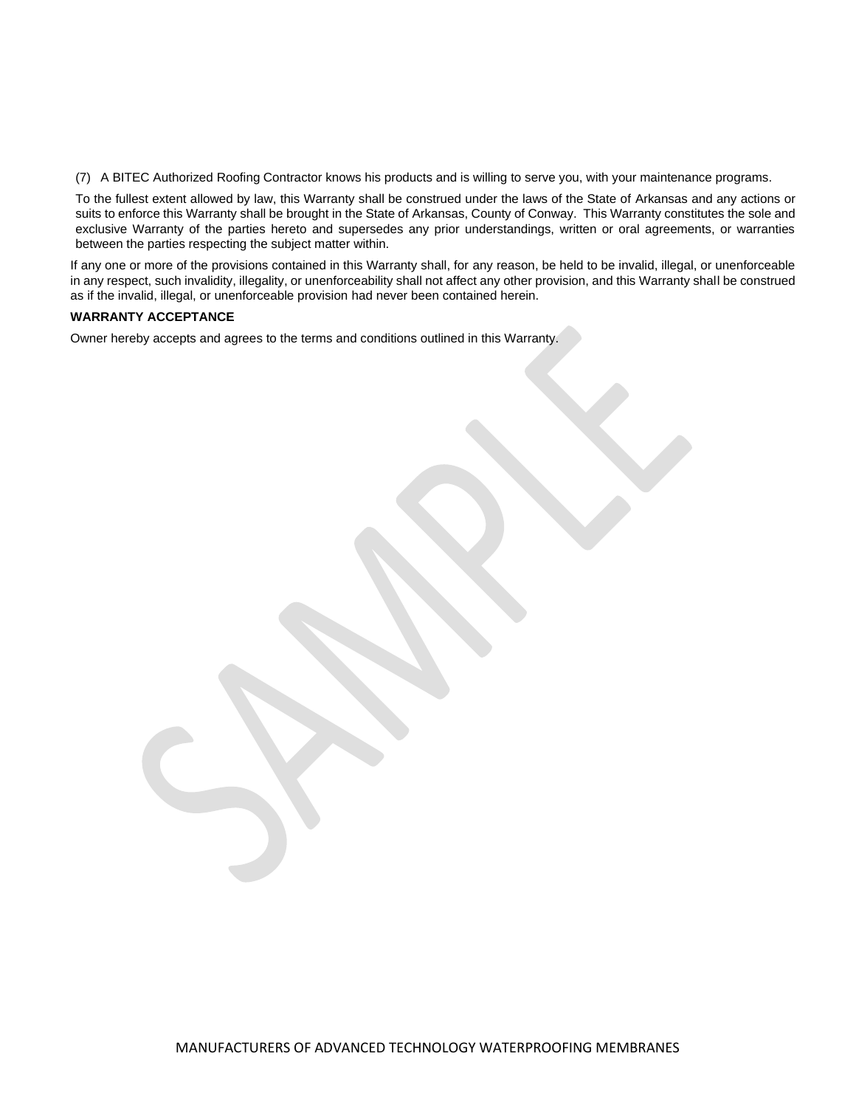(7) A BITEC Authorized Roofing Contractor knows his products and is willing to serve you, with your maintenance programs.

To the fullest extent allowed by law, this Warranty shall be construed under the laws of the State of Arkansas and any actions or suits to enforce this Warranty shall be brought in the State of Arkansas, County of Conway. This Warranty constitutes the sole and exclusive Warranty of the parties hereto and supersedes any prior understandings, written or oral agreements, or warranties between the parties respecting the subject matter within.

If any one or more of the provisions contained in this Warranty shall, for any reason, be held to be invalid, illegal, or unenforceable in any respect, such invalidity, illegality, or unenforceability shall not affect any other provision, and this Warranty shall be construed as if the invalid, illegal, or unenforceable provision had never been contained herein.

### **WARRANTY ACCEPTANCE**

Owner hereby accepts and agrees to the terms and conditions outlined in this Warranty.